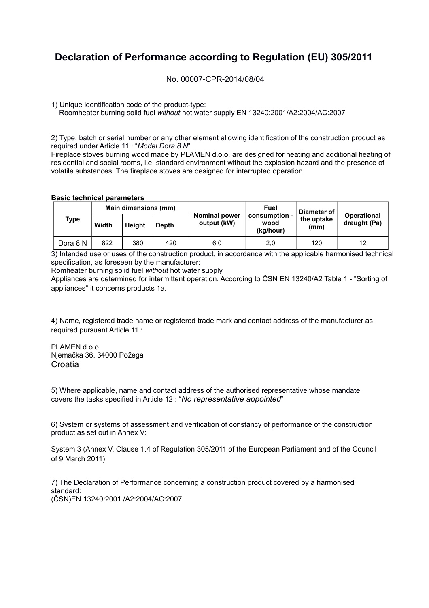## **Declaration of Performance according to Regulation (EU) 305/2011**

No. 00007-CPR-2014/08/04

1) Unique identification code of the product-type:

Roomheater burning solid fuel *without* hot water supply EN 13240:2001/A2:2004/AC:2007

2) Type, batch or serial number or any other element allowing identification of the construction product as required under Article 11 : "*Model Dora 8 N*"

Fireplace stoves burning wood made by PLAMEN d.o.o, are designed for heating and additional heating of residential and social rooms, i.e. standard environment without the explosion hazard and the presence of volatile substances. The fireplace stoves are designed for interrupted operation.

## **Basic technical parameters**

|  | <b>Type</b> | Main dimensions (mm) |               |       |                                     | Fuel                               | Diameter of        |                                    |  |
|--|-------------|----------------------|---------------|-------|-------------------------------------|------------------------------------|--------------------|------------------------------------|--|
|  |             | Width                | <b>Height</b> | Depth | <b>Nominal power</b><br>output (kW) | consumption -<br>wood<br>(kg/hour) | the uptake<br>(mm) | <b>Operational</b><br>draught (Pa) |  |
|  | Dora 8 N    | 822                  | 380           | 420   | 6,0                                 | 2,0                                | 120                | 12                                 |  |

3) Intended use or uses of the construction product, in accordance with the applicable harmonised technical specification, as foreseen by the manufacturer:

Romheater burning solid fuel *without* hot water supply

Appliances are determined for intermittent operation. According to ČSN EN 13240/A2 Table 1 - "Sorting of appliances" it concerns products 1a.

4) Name, registered trade name or registered trade mark and contact address of the manufacturer as required pursuant Article 11 :

PLAMEN d.o.o. Njemačka 36, 34000 Požega **Croatia** 

5) Where applicable, name and contact address of the authorised representative whose mandate covers the tasks specified in Article 12 : "*No representative appointed*"

6) System or systems of assessment and verification of constancy of performance of the construction product as set out in Annex V:

System 3 (Annex V, Clause 1.4 of Regulation 305/2011 of the European Parliament and of the Council of 9 March 2011)

7) The Declaration of Performance concerning a construction product covered by a harmonised standard: (ČSN)EN 13240:2001 /A2:2004/AC:2007